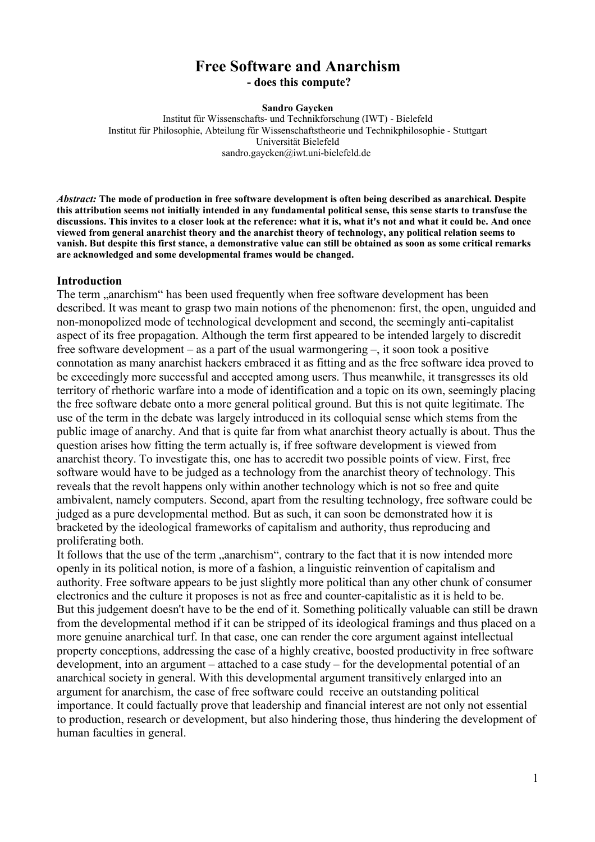# **Free Software and Anarchism - does this compute?**

#### **Sandro Gaycken**

Institut für Wissenschafts- und Technikforschung (IWT) - Bielefeld Institut für Philosophie, Abteilung für Wissenschaftstheorie und Technikphilosophie - Stuttgart Universität Bielefeld sandro.gaycken@iwt.uni-bielefeld.de

*Abstract:* **The mode of production in free software development is often being described as anarchical. Despite this attribution seems not initially intended in any fundamental political sense, this sense starts to transfuse the discussions. This invites to a closer look at the reference: what it is, what it's not and what it could be. And once viewed from general anarchist theory and the anarchist theory of technology, any political relation seems to vanish. But despite this first stance, a demonstrative value can still be obtained as soon as some critical remarks are acknowledged and some developmental frames would be changed.**

#### **Introduction**

The term ... anarchism " has been used frequently when free software development has been described. It was meant to grasp two main notions of the phenomenon: first, the open, unguided and non-monopolized mode of technological development and second, the seemingly anti-capitalist aspect of its free propagation. Although the term first appeared to be intended largely to discredit free software development – as a part of the usual warmongering –, it soon took a positive connotation as many anarchist hackers embraced it as fitting and as the free software idea proved to be exceedingly more successful and accepted among users. Thus meanwhile, it transgresses its old territory of rhethoric warfare into a mode of identification and a topic on its own, seemingly placing the free software debate onto a more general political ground. But this is not quite legitimate. The use of the term in the debate was largely introduced in its colloquial sense which stems from the public image of anarchy. And that is quite far from what anarchist theory actually is about. Thus the question arises how fitting the term actually is, if free software development is viewed from anarchist theory. To investigate this, one has to accredit two possible points of view. First, free software would have to be judged as a technology from the anarchist theory of technology. This reveals that the revolt happens only within another technology which is not so free and quite ambivalent, namely computers. Second, apart from the resulting technology, free software could be judged as a pure developmental method. But as such, it can soon be demonstrated how it is bracketed by the ideological frameworks of capitalism and authority, thus reproducing and proliferating both.

It follows that the use of the term "anarchism", contrary to the fact that it is now intended more openly in its political notion, is more of a fashion, a linguistic reinvention of capitalism and authority. Free software appears to be just slightly more political than any other chunk of consumer electronics and the culture it proposes is not as free and counter-capitalistic as it is held to be. But this judgement doesn't have to be the end of it. Something politically valuable can still be drawn from the developmental method if it can be stripped of its ideological framings and thus placed on a more genuine anarchical turf. In that case, one can render the core argument against intellectual property conceptions, addressing the case of a highly creative, boosted productivity in free software development, into an argument – attached to a case study – for the developmental potential of an anarchical society in general. With this developmental argument transitively enlarged into an argument for anarchism, the case of free software could receive an outstanding political importance. It could factually prove that leadership and financial interest are not only not essential to production, research or development, but also hindering those, thus hindering the development of human faculties in general.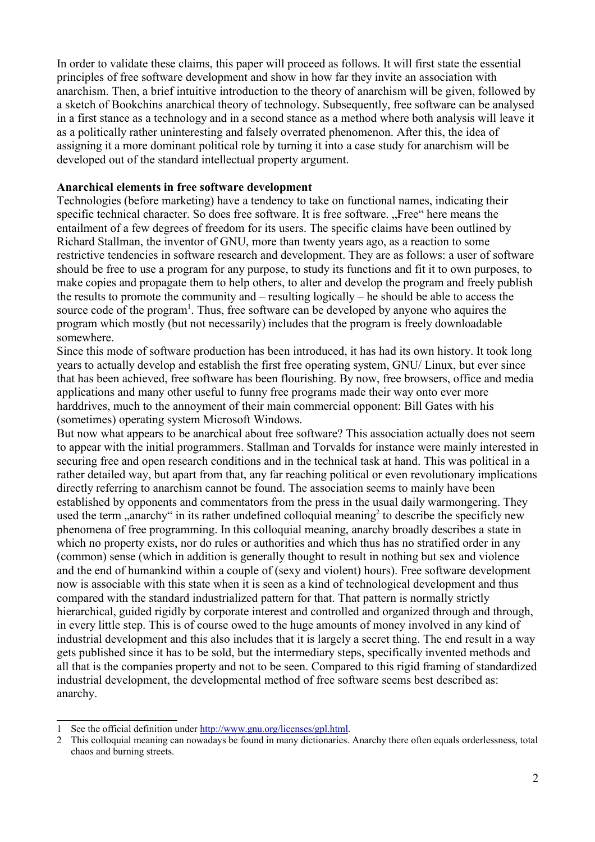In order to validate these claims, this paper will proceed as follows. It will first state the essential principles of free software development and show in how far they invite an association with anarchism. Then, a brief intuitive introduction to the theory of anarchism will be given, followed by a sketch of Bookchins anarchical theory of technology. Subsequently, free software can be analysed in a first stance as a technology and in a second stance as a method where both analysis will leave it as a politically rather uninteresting and falsely overrated phenomenon. After this, the idea of assigning it a more dominant political role by turning it into a case study for anarchism will be developed out of the standard intellectual property argument.

## **Anarchical elements in free software development**

Technologies (before marketing) have a tendency to take on functional names, indicating their specific technical character. So does free software. It is free software. "Free" here means the entailment of a few degrees of freedom for its users. The specific claims have been outlined by Richard Stallman, the inventor of GNU, more than twenty years ago, as a reaction to some restrictive tendencies in software research and development. They are as follows: a user of software should be free to use a program for any purpose, to study its functions and fit it to own purposes, to make copies and propagate them to help others, to alter and develop the program and freely publish the results to promote the community and – resulting logically – he should be able to access the source code of the program<sup>1</sup>. Thus, free software can be developed by anyone who aquires the program which mostly (but not necessarily) includes that the program is freely downloadable somewhere.

Since this mode of software production has been introduced, it has had its own history. It took long years to actually develop and establish the first free operating system, GNU/ Linux, but ever since that has been achieved, free software has been flourishing. By now, free browsers, office and media applications and many other useful to funny free programs made their way onto ever more harddrives, much to the annoyment of their main commercial opponent: Bill Gates with his (sometimes) operating system Microsoft Windows.

But now what appears to be anarchical about free software? This association actually does not seem to appear with the initial programmers. Stallman and Torvalds for instance were mainly interested in securing free and open research conditions and in the technical task at hand. This was political in a rather detailed way, but apart from that, any far reaching political or even revolutionary implications directly referring to anarchism cannot be found. The association seems to mainly have been established by opponents and commentators from the press in the usual daily warmongering. They used the term "anarchy" in its rather undefined colloquial meaning<sup>2</sup> to describe the specificly new phenomena of free programming. In this colloquial meaning, anarchy broadly describes a state in which no property exists, nor do rules or authorities and which thus has no stratified order in any (common) sense (which in addition is generally thought to result in nothing but sex and violence and the end of humankind within a couple of (sexy and violent) hours). Free software development now is associable with this state when it is seen as a kind of technological development and thus compared with the standard industrialized pattern for that. That pattern is normally strictly hierarchical, guided rigidly by corporate interest and controlled and organized through and through, in every little step. This is of course owed to the huge amounts of money involved in any kind of industrial development and this also includes that it is largely a secret thing. The end result in a way gets published since it has to be sold, but the intermediary steps, specifically invented methods and all that is the companies property and not to be seen. Compared to this rigid framing of standardized industrial development, the developmental method of free software seems best described as: anarchy.

<sup>1</sup> See the official definition under http://www.gnu.org/licenses/gpl.html.

<sup>2</sup> This colloquial meaning can nowadays be found in many dictionaries. Anarchy there often equals orderlessness, total chaos and burning streets.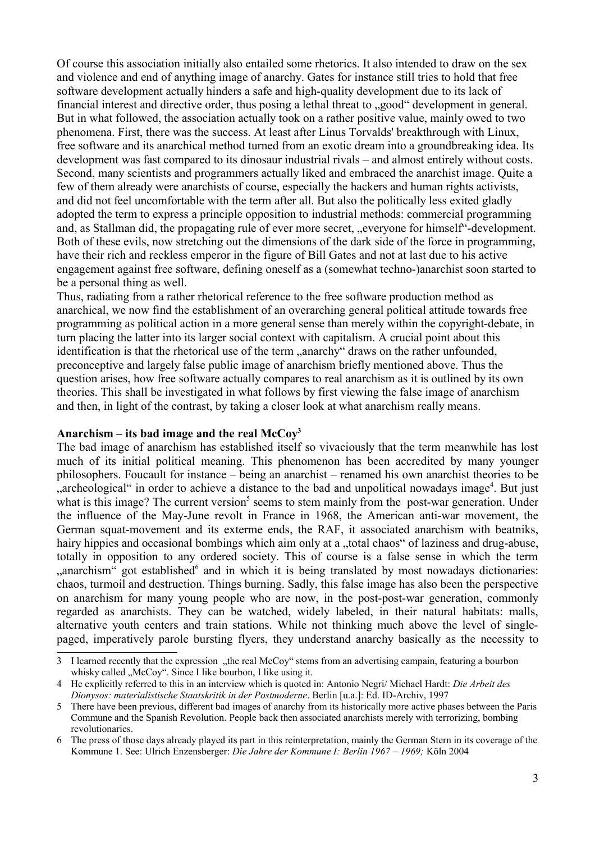Of course this association initially also entailed some rhetorics. It also intended to draw on the sex and violence and end of anything image of anarchy. Gates for instance still tries to hold that free software development actually hinders a safe and high-quality development due to its lack of financial interest and directive order, thus posing a lethal threat to .,good "development in general. But in what followed, the association actually took on a rather positive value, mainly owed to two phenomena. First, there was the success. At least after Linus Torvalds' breakthrough with Linux, free software and its anarchical method turned from an exotic dream into a groundbreaking idea. Its development was fast compared to its dinosaur industrial rivals – and almost entirely without costs. Second, many scientists and programmers actually liked and embraced the anarchist image. Quite a few of them already were anarchists of course, especially the hackers and human rights activists, and did not feel uncomfortable with the term after all. But also the politically less exited gladly adopted the term to express a principle opposition to industrial methods: commercial programming and, as Stallman did, the propagating rule of ever more secret, "everyone for himself"-development. Both of these evils, now stretching out the dimensions of the dark side of the force in programming, have their rich and reckless emperor in the figure of Bill Gates and not at last due to his active engagement against free software, defining oneself as a (somewhat techno-)anarchist soon started to be a personal thing as well.

Thus, radiating from a rather rhetorical reference to the free software production method as anarchical, we now find the establishment of an overarching general political attitude towards free programming as political action in a more general sense than merely within the copyright-debate, in turn placing the latter into its larger social context with capitalism. A crucial point about this identification is that the rhetorical use of the term "anarchy" draws on the rather unfounded, preconceptive and largely false public image of anarchism briefly mentioned above. Thus the question arises, how free software actually compares to real anarchism as it is outlined by its own theories. This shall be investigated in what follows by first viewing the false image of anarchism and then, in light of the contrast, by taking a closer look at what anarchism really means.

## **Anarchism – its bad image and the real McCoy<sup>3</sup>**

The bad image of anarchism has established itself so vivaciously that the term meanwhile has lost much of its initial political meaning. This phenomenon has been accredited by many younger philosophers. Foucault for instance – being an anarchist – renamed his own anarchist theories to be "archeological" in order to achieve a distance to the bad and unpolitical nowadays image<sup>4</sup>. But just what is this image? The current version<sup>5</sup> seems to stem mainly from the post-war generation. Under the influence of the May-June revolt in France in 1968, the American anti-war movement, the German squat-movement and its exterme ends, the RAF, it associated anarchism with beatniks, hairy hippies and occasional bombings which aim only at a "total chaos" of laziness and drug-abuse, totally in opposition to any ordered society. This of course is a false sense in which the term "anarchism" got established<sup>6</sup> and in which it is being translated by most nowadays dictionaries: chaos, turmoil and destruction. Things burning. Sadly, this false image has also been the perspective on anarchism for many young people who are now, in the post-post-war generation, commonly regarded as anarchists. They can be watched, widely labeled, in their natural habitats: malls, alternative youth centers and train stations. While not thinking much above the level of singlepaged, imperatively parole bursting flyers, they understand anarchy basically as the necessity to

<sup>3</sup> I learned recently that the expression "the real McCoy" stems from an advertising campain, featuring a bourbon whisky called "McCoy". Since I like bourbon, I like using it.

<sup>4</sup> He explicitly referred to this in an interview which is quoted in: Antonio Negri/ Michael Hardt: *Die Arbeit des Dionysos: materialistische Staatskritik in der Postmoderne*. Berlin [u.a.]: Ed. ID-Archiv, 1997

<sup>5</sup> There have been previous, different bad images of anarchy from its historically more active phases between the Paris Commune and the Spanish Revolution. People back then associated anarchists merely with terrorizing, bombing revolutionaries.

<sup>6</sup> The press of those days already played its part in this reinterpretation, mainly the German Stern in its coverage of the Kommune 1. See: Ulrich Enzensberger: *Die Jahre der Kommune I: Berlin 1967 – 1969;* Köln 2004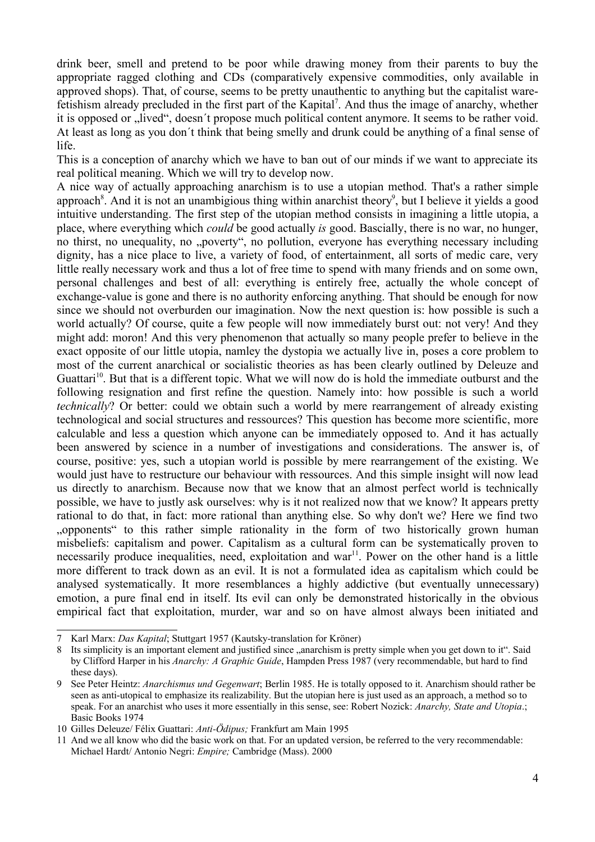drink beer, smell and pretend to be poor while drawing money from their parents to buy the appropriate ragged clothing and CDs (comparatively expensive commodities, only available in approved shops). That, of course, seems to be pretty unauthentic to anything but the capitalist warefetishism already precluded in the first part of the Kapital<sup>7</sup>. And thus the image of anarchy, whether it is opposed or "lived", doesn't propose much political content anymore. It seems to be rather void. At least as long as you don´t think that being smelly and drunk could be anything of a final sense of life.

This is a conception of anarchy which we have to ban out of our minds if we want to appreciate its real political meaning. Which we will try to develop now.

A nice way of actually approaching anarchism is to use a utopian method. That's a rather simple approach<sup>8</sup>. And it is not an unambigious thing within anarchist theory<sup>9</sup>, but I believe it yields a good intuitive understanding. The first step of the utopian method consists in imagining a little utopia, a place, where everything which *could* be good actually *is* good. Bascially, there is no war, no hunger, no thirst, no unequality, no "poverty", no pollution, everyone has everything necessary including dignity, has a nice place to live, a variety of food, of entertainment, all sorts of medic care, very little really necessary work and thus a lot of free time to spend with many friends and on some own, personal challenges and best of all: everything is entirely free, actually the whole concept of exchange-value is gone and there is no authority enforcing anything. That should be enough for now since we should not overburden our imagination. Now the next question is: how possible is such a world actually? Of course, quite a few people will now immediately burst out: not very! And they might add: moron! And this very phenomenon that actually so many people prefer to believe in the exact opposite of our little utopia, namley the dystopia we actually live in, poses a core problem to most of the current anarchical or socialistic theories as has been clearly outlined by Deleuze and Guattari<sup>10</sup>. But that is a different topic. What we will now do is hold the immediate outburst and the following resignation and first refine the question. Namely into: how possible is such a world *technically*? Or better: could we obtain such a world by mere rearrangement of already existing technological and social structures and ressources? This question has become more scientific, more calculable and less a question which anyone can be immediately opposed to. And it has actually been answered by science in a number of investigations and considerations. The answer is, of course, positive: yes, such a utopian world is possible by mere rearrangement of the existing. We would just have to restructure our behaviour with ressources. And this simple insight will now lead us directly to anarchism. Because now that we know that an almost perfect world is technically possible, we have to justly ask ourselves: why is it not realized now that we know? It appears pretty rational to do that, in fact: more rational than anything else. So why don't we? Here we find two "opponents" to this rather simple rationality in the form of two historically grown human misbeliefs: capitalism and power. Capitalism as a cultural form can be systematically proven to necessarily produce inequalities, need, exploitation and war<sup>11</sup>. Power on the other hand is a little more different to track down as an evil. It is not a formulated idea as capitalism which could be analysed systematically. It more resemblances a highly addictive (but eventually unnecessary) emotion, a pure final end in itself. Its evil can only be demonstrated historically in the obvious empirical fact that exploitation, murder, war and so on have almost always been initiated and

<sup>7</sup> Karl Marx: *Das Kapital*; Stuttgart 1957 (Kautsky-translation for Kröner)

<sup>8</sup> Its simplicity is an important element and justified since "anarchism is pretty simple when you get down to it". Said by Clifford Harper in his *Anarchy: A Graphic Guide*, Hampden Press 1987 (very recommendable, but hard to find these days).

<sup>9</sup> See Peter Heintz: *Anarchismus und Gegenwart*; Berlin 1985. He is totally opposed to it. Anarchism should rather be seen as anti-utopical to emphasize its realizability. But the utopian here is just used as an approach, a method so to speak. For an anarchist who uses it more essentially in this sense, see: Robert Nozick: *Anarchy, State and Utopia*.; Basic Books 1974

<sup>10</sup> Gilles Deleuze/ Félix Guattari: *Anti-Ödipus;* Frankfurt am Main 1995

<sup>11</sup> And we all know who did the basic work on that. For an updated version, be referred to the very recommendable: Michael Hardt/ Antonio Negri: *Empire;* Cambridge (Mass). 2000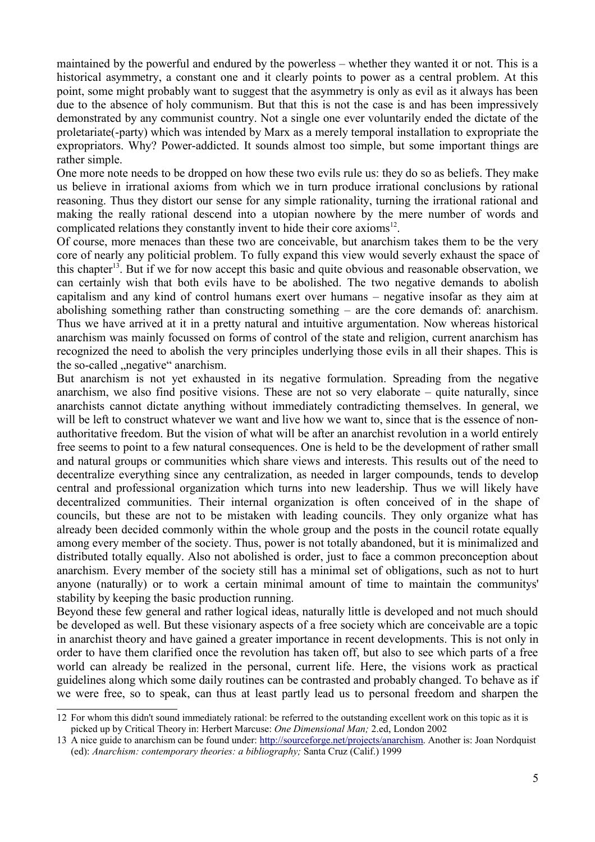maintained by the powerful and endured by the powerless – whether they wanted it or not. This is a historical asymmetry, a constant one and it clearly points to power as a central problem. At this point, some might probably want to suggest that the asymmetry is only as evil as it always has been due to the absence of holy communism. But that this is not the case is and has been impressively demonstrated by any communist country. Not a single one ever voluntarily ended the dictate of the proletariate(-party) which was intended by Marx as a merely temporal installation to expropriate the expropriators. Why? Power-addicted. It sounds almost too simple, but some important things are rather simple.

One more note needs to be dropped on how these two evils rule us: they do so as beliefs. They make us believe in irrational axioms from which we in turn produce irrational conclusions by rational reasoning. Thus they distort our sense for any simple rationality, turning the irrational rational and making the really rational descend into a utopian nowhere by the mere number of words and complicated relations they constantly invent to hide their core axioms<sup>12</sup>.

Of course, more menaces than these two are conceivable, but anarchism takes them to be the very core of nearly any politicial problem. To fully expand this view would severly exhaust the space of this chapter<sup>13</sup>. But if we for now accept this basic and quite obvious and reasonable observation, we can certainly wish that both evils have to be abolished. The two negative demands to abolish capitalism and any kind of control humans exert over humans – negative insofar as they aim at abolishing something rather than constructing something – are the core demands of: anarchism. Thus we have arrived at it in a pretty natural and intuitive argumentation. Now whereas historical anarchism was mainly focussed on forms of control of the state and religion, current anarchism has recognized the need to abolish the very principles underlying those evils in all their shapes. This is the so-called "negative" anarchism.

But anarchism is not yet exhausted in its negative formulation. Spreading from the negative anarchism, we also find positive visions. These are not so very elaborate – quite naturally, since anarchists cannot dictate anything without immediately contradicting themselves. In general, we will be left to construct whatever we want and live how we want to, since that is the essence of nonauthoritative freedom. But the vision of what will be after an anarchist revolution in a world entirely free seems to point to a few natural consequences. One is held to be the development of rather small and natural groups or communities which share views and interests. This results out of the need to decentralize everything since any centralization, as needed in larger compounds, tends to develop central and professional organization which turns into new leadership. Thus we will likely have decentralized communities. Their internal organization is often conceived of in the shape of councils, but these are not to be mistaken with leading councils. They only organize what has already been decided commonly within the whole group and the posts in the council rotate equally among every member of the society. Thus, power is not totally abandoned, but it is minimalized and distributed totally equally. Also not abolished is order, just to face a common preconception about anarchism. Every member of the society still has a minimal set of obligations, such as not to hurt anyone (naturally) or to work a certain minimal amount of time to maintain the communitys' stability by keeping the basic production running.

Beyond these few general and rather logical ideas, naturally little is developed and not much should be developed as well. But these visionary aspects of a free society which are conceivable are a topic in anarchist theory and have gained a greater importance in recent developments. This is not only in order to have them clarified once the revolution has taken off, but also to see which parts of a free world can already be realized in the personal, current life. Here, the visions work as practical guidelines along which some daily routines can be contrasted and probably changed. To behave as if we were free, so to speak, can thus at least partly lead us to personal freedom and sharpen the

<sup>12</sup> For whom this didn't sound immediately rational: be referred to the outstanding excellent work on this topic as it is picked up by Critical Theory in: Herbert Marcuse: *One Dimensional Man;* 2.ed, London 2002

<sup>13</sup> A nice guide to anarchism can be found under: http://sourceforge.net/projects/anarchism. Another is: Joan Nordquist (ed): *Anarchism: contemporary theories: a bibliography;* Santa Cruz (Calif.) 1999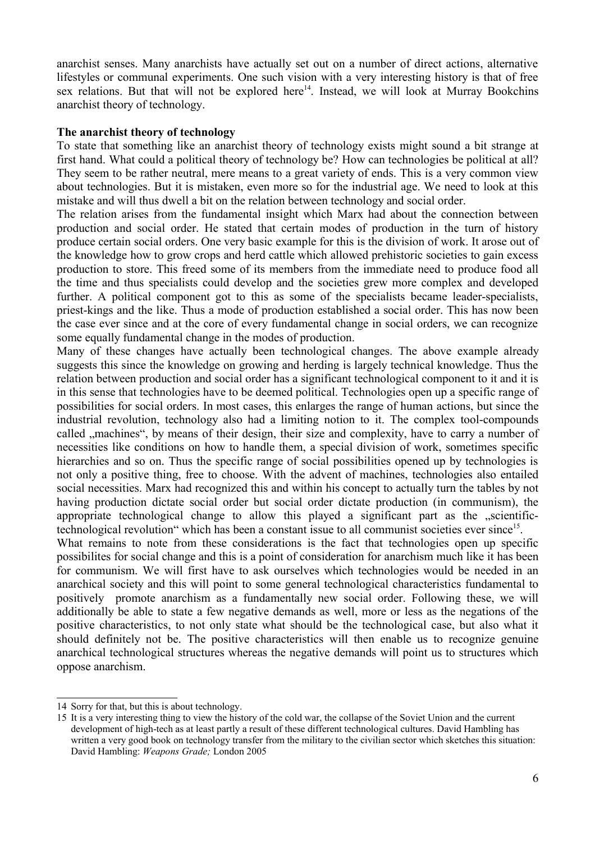anarchist senses. Many anarchists have actually set out on a number of direct actions, alternative lifestyles or communal experiments. One such vision with a very interesting history is that of free sex relations. But that will not be explored here<sup>14</sup>. Instead, we will look at Murray Bookchins anarchist theory of technology.

## **The anarchist theory of technology**

To state that something like an anarchist theory of technology exists might sound a bit strange at first hand. What could a political theory of technology be? How can technologies be political at all? They seem to be rather neutral, mere means to a great variety of ends. This is a very common view about technologies. But it is mistaken, even more so for the industrial age. We need to look at this mistake and will thus dwell a bit on the relation between technology and social order.

The relation arises from the fundamental insight which Marx had about the connection between production and social order. He stated that certain modes of production in the turn of history produce certain social orders. One very basic example for this is the division of work. It arose out of the knowledge how to grow crops and herd cattle which allowed prehistoric societies to gain excess production to store. This freed some of its members from the immediate need to produce food all the time and thus specialists could develop and the societies grew more complex and developed further. A political component got to this as some of the specialists became leader-specialists, priest-kings and the like. Thus a mode of production established a social order. This has now been the case ever since and at the core of every fundamental change in social orders, we can recognize some equally fundamental change in the modes of production.

Many of these changes have actually been technological changes. The above example already suggests this since the knowledge on growing and herding is largely technical knowledge. Thus the relation between production and social order has a significant technological component to it and it is in this sense that technologies have to be deemed political. Technologies open up a specific range of possibilities for social orders. In most cases, this enlarges the range of human actions, but since the industrial revolution, technology also had a limiting notion to it. The complex tool-compounds called ...machines", by means of their design, their size and complexity, have to carry a number of necessities like conditions on how to handle them, a special division of work, sometimes specific hierarchies and so on. Thus the specific range of social possibilities opened up by technologies is not only a positive thing, free to choose. With the advent of machines, technologies also entailed social necessities. Marx had recognized this and within his concept to actually turn the tables by not having production dictate social order but social order dictate production (in communism), the appropriate technological change to allow this played a significant part as the solutiontechnological revolution" which has been a constant issue to all communist societies ever since<sup>15</sup>.

What remains to note from these considerations is the fact that technologies open up specific possibilites for social change and this is a point of consideration for anarchism much like it has been for communism. We will first have to ask ourselves which technologies would be needed in an anarchical society and this will point to some general technological characteristics fundamental to positively promote anarchism as a fundamentally new social order. Following these, we will additionally be able to state a few negative demands as well, more or less as the negations of the positive characteristics, to not only state what should be the technological case, but also what it should definitely not be. The positive characteristics will then enable us to recognize genuine anarchical technological structures whereas the negative demands will point us to structures which oppose anarchism.

<sup>14</sup> Sorry for that, but this is about technology.

<sup>15</sup> It is a very interesting thing to view the history of the cold war, the collapse of the Soviet Union and the current development of high-tech as at least partly a result of these different technological cultures. David Hambling has written a very good book on technology transfer from the military to the civilian sector which sketches this situation: David Hambling: *Weapons Grade;* London 2005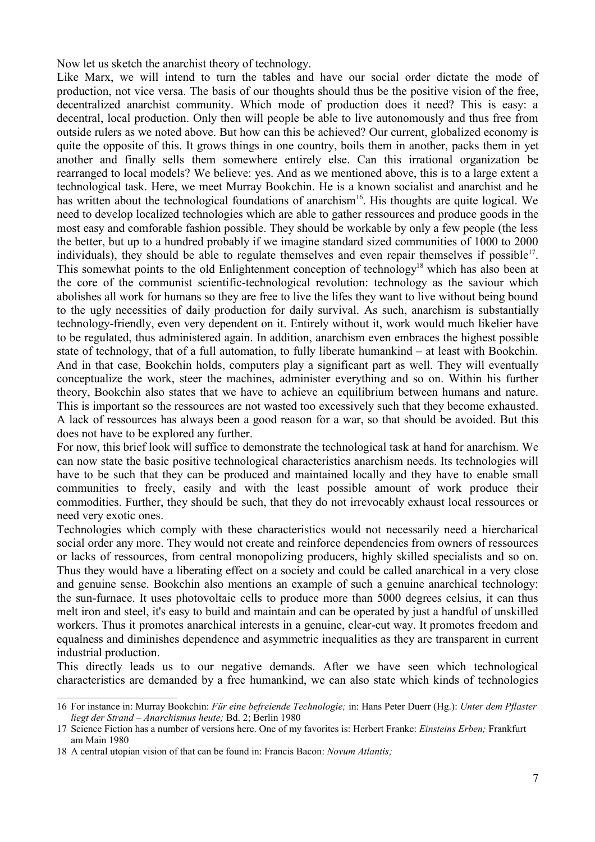Now let us sketch the anarchist theory of technology.

Like Marx, we will intend to turn the tables and have our social order dictate the mode of production, not vice versa. The basis of our thoughts should thus be the positive vision of the free, decentralized anarchist community. Which mode of production does it need? This is easy: a decentral, local production. Only then will people be able to live autonomously and thus free from outside rulers as we noted above. But how can this be achieved? Our current, globalized economy is quite the opposite of this. It grows things in one country, boils them in another, packs them in yet another and finally sells them somewhere entirely else. Can this irrational organization be rearranged to local models? We believe: yes. And as we mentioned above, this is to a large extent a technological task. Here, we meet Murray Bookchin. He is a known socialist and anarchist and he has written about the technological foundations of anarchism<sup>16</sup>. His thoughts are quite logical. We need to develop localized technologies which are able to gather ressources and produce goods in the most easy and comforable fashion possible. They should be workable by only a few people (the less the better, but up to a hundred probably if we imagine standard sized communities of 1000 to 2000 individuals), they should be able to regulate themselves and even repair themselves if possible<sup>17</sup>. This somewhat points to the old Enlightenment conception of technology<sup>18</sup> which has also been at the core of the communist scientific-technological revolution: technology as the saviour which abolishes all work for humans so they are free to live the lifes they want to live without being bound to the ugly necessities of daily production for daily survival. As such, anarchism is substantially technology-friendly, even very dependent on it. Entirely without it, work would much likelier have to be regulated, thus administered again. In addition, anarchism even embraces the highest possible state of technology, that of a full automation, to fully liberate humankind – at least with Bookchin. And in that case, Bookchin holds, computers play a significant part as well. They will eventually conceptualize the work, steer the machines, administer everything and so on. Within his further theory, Bookchin also states that we have to achieve an equilibrium between humans and nature. This is important so the ressources are not wasted too excessively such that they become exhausted. A lack of ressources has always been a good reason for a war, so that should be avoided. But this does not have to be explored any further.

For now, this brief look will suffice to demonstrate the technological task at hand for anarchism. We can now state the basic positive technological characteristics anarchism needs. Its technologies will have to be such that they can be produced and maintained locally and they have to enable small communities to freely, easily and with the least possible amount of work produce their commodities. Further, they should be such, that they do not irrevocably exhaust local ressources or need very exotic ones.

Technologies which comply with these characteristics would not necessarily need a hiercharical social order any more. They would not create and reinforce dependencies from owners of ressources or lacks of ressources, from central monopolizing producers, highly skilled specialists and so on. Thus they would have a liberating effect on a society and could be called anarchical in a very close and genuine sense. Bookchin also mentions an example of such a genuine anarchical technology: the sun-furnace. It uses photovoltaic cells to produce more than 5000 degrees celsius, it can thus melt iron and steel, it's easy to build and maintain and can be operated by just a handful of unskilled workers. Thus it promotes anarchical interests in a genuine, clear-cut way. It promotes freedom and equalness and diminishes dependence and asymmetric inequalities as they are transparent in current industrial production.

This directly leads us to our negative demands. After we have seen which technological characteristics are demanded by a free humankind, we can also state which kinds of technologies

<sup>16</sup> For instance in: Murray Bookchin: *Für eine befreiende Technologie;* in: Hans Peter Duerr (Hg.): *Unter dem Pflaster liegt der Strand – Anarchismus heute;* Bd. 2; Berlin 1980

<sup>17</sup> Science Fiction has a number of versions here. One of my favorites is: Herbert Franke: *Einsteins Erben;* Frankfurt am Main 1980

<sup>18</sup> A central utopian vision of that can be found in: Francis Bacon: *Novum Atlantis;*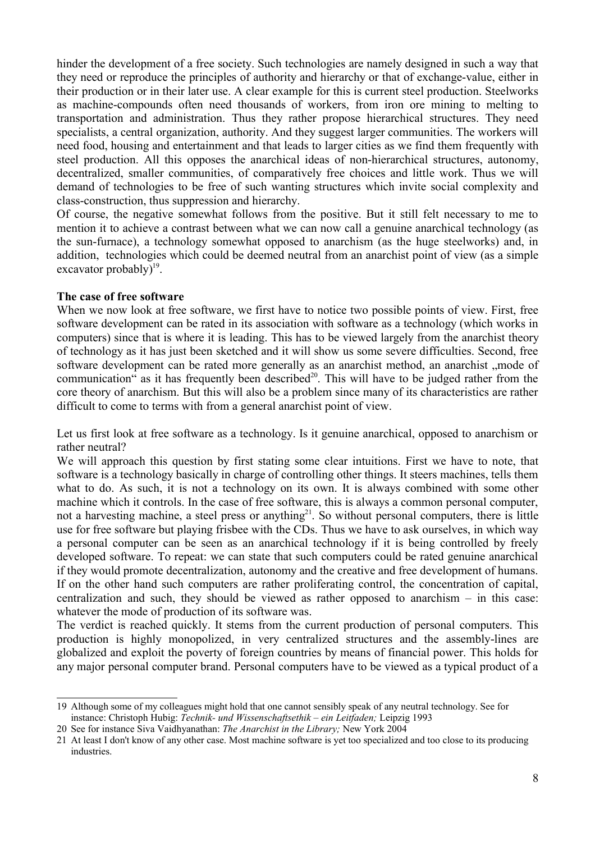hinder the development of a free society. Such technologies are namely designed in such a way that they need or reproduce the principles of authority and hierarchy or that of exchange-value, either in their production or in their later use. A clear example for this is current steel production. Steelworks as machine-compounds often need thousands of workers, from iron ore mining to melting to transportation and administration. Thus they rather propose hierarchical structures. They need specialists, a central organization, authority. And they suggest larger communities. The workers will need food, housing and entertainment and that leads to larger cities as we find them frequently with steel production. All this opposes the anarchical ideas of non-hierarchical structures, autonomy, decentralized, smaller communities, of comparatively free choices and little work. Thus we will demand of technologies to be free of such wanting structures which invite social complexity and class-construction, thus suppression and hierarchy.

Of course, the negative somewhat follows from the positive. But it still felt necessary to me to mention it to achieve a contrast between what we can now call a genuine anarchical technology (as the sun-furnace), a technology somewhat opposed to anarchism (as the huge steelworks) and, in addition, technologies which could be deemed neutral from an anarchist point of view (as a simple excavator probably) $19$ .

## **The case of free software**

When we now look at free software, we first have to notice two possible points of view. First, free software development can be rated in its association with software as a technology (which works in computers) since that is where it is leading. This has to be viewed largely from the anarchist theory of technology as it has just been sketched and it will show us some severe difficulties. Second, free software development can be rated more generally as an anarchist method, an anarchist , mode of communication" as it has frequently been described<sup>20</sup>. This will have to be judged rather from the core theory of anarchism. But this will also be a problem since many of its characteristics are rather difficult to come to terms with from a general anarchist point of view.

Let us first look at free software as a technology. Is it genuine anarchical, opposed to anarchism or rather neutral?

We will approach this question by first stating some clear intuitions. First we have to note, that software is a technology basically in charge of controlling other things. It steers machines, tells them what to do. As such, it is not a technology on its own. It is always combined with some other machine which it controls. In the case of free software, this is always a common personal computer, not a harvesting machine, a steel press or anything<sup>21</sup>. So without personal computers, there is little use for free software but playing frisbee with the CDs. Thus we have to ask ourselves, in which way a personal computer can be seen as an anarchical technology if it is being controlled by freely developed software. To repeat: we can state that such computers could be rated genuine anarchical if they would promote decentralization, autonomy and the creative and free development of humans. If on the other hand such computers are rather proliferating control, the concentration of capital, centralization and such, they should be viewed as rather opposed to anarchism – in this case: whatever the mode of production of its software was.

The verdict is reached quickly. It stems from the current production of personal computers. This production is highly monopolized, in very centralized structures and the assembly-lines are globalized and exploit the poverty of foreign countries by means of financial power. This holds for any major personal computer brand. Personal computers have to be viewed as a typical product of a

<sup>19</sup> Although some of my colleagues might hold that one cannot sensibly speak of any neutral technology. See for instance: Christoph Hubig: *Technik- und Wissenschaftsethik – ein Leitfaden;* Leipzig 1993

<sup>20</sup> See for instance Siva Vaidhyanathan: *The Anarchist in the Library;* New York 2004

<sup>21</sup> At least I don't know of any other case. Most machine software is yet too specialized and too close to its producing industries.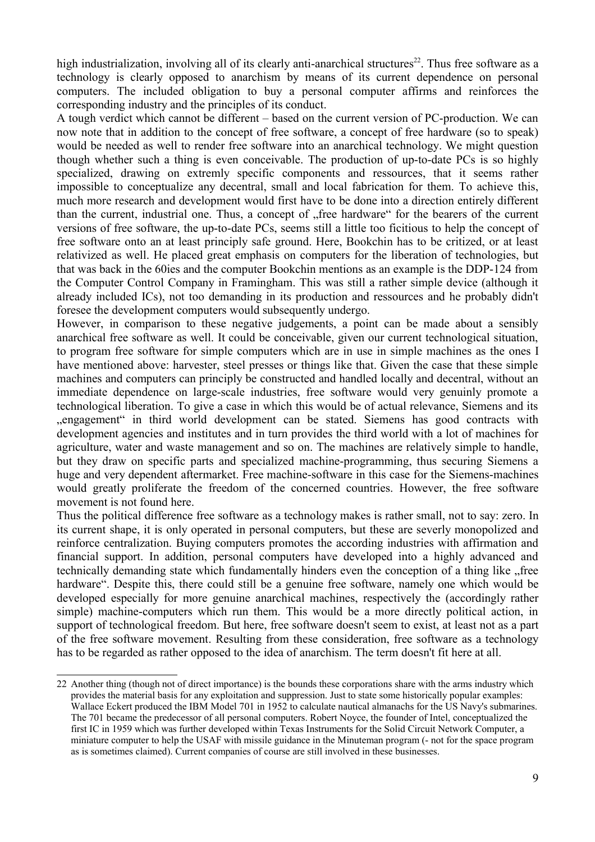high industrialization, involving all of its clearly anti-anarchical structures<sup>22</sup>. Thus free software as a technology is clearly opposed to anarchism by means of its current dependence on personal computers. The included obligation to buy a personal computer affirms and reinforces the corresponding industry and the principles of its conduct.

A tough verdict which cannot be different – based on the current version of PC-production. We can now note that in addition to the concept of free software, a concept of free hardware (so to speak) would be needed as well to render free software into an anarchical technology. We might question though whether such a thing is even conceivable. The production of up-to-date PCs is so highly specialized, drawing on extremly specific components and ressources, that it seems rather impossible to conceptualize any decentral, small and local fabrication for them. To achieve this, much more research and development would first have to be done into a direction entirely different than the current, industrial one. Thus, a concept of "free hardware" for the bearers of the current versions of free software, the up-to-date PCs, seems still a little too ficitious to help the concept of free software onto an at least principly safe ground. Here, Bookchin has to be critized, or at least relativized as well. He placed great emphasis on computers for the liberation of technologies, but that was back in the 60ies and the computer Bookchin mentions as an example is the DDP-124 from the Computer Control Company in Framingham. This was still a rather simple device (although it already included ICs), not too demanding in its production and ressources and he probably didn't foresee the development computers would subsequently undergo.

However, in comparison to these negative judgements, a point can be made about a sensibly anarchical free software as well. It could be conceivable, given our current technological situation, to program free software for simple computers which are in use in simple machines as the ones I have mentioned above: harvester, steel presses or things like that. Given the case that these simple machines and computers can principly be constructed and handled locally and decentral, without an immediate dependence on large-scale industries, free software would very genuinly promote a technological liberation. To give a case in which this would be of actual relevance, Siemens and its "engagement" in third world development can be stated. Siemens has good contracts with development agencies and institutes and in turn provides the third world with a lot of machines for agriculture, water and waste management and so on. The machines are relatively simple to handle, but they draw on specific parts and specialized machine-programming, thus securing Siemens a huge and very dependent aftermarket. Free machine-software in this case for the Siemens-machines would greatly proliferate the freedom of the concerned countries. However, the free software movement is not found here.

Thus the political difference free software as a technology makes is rather small, not to say: zero. In its current shape, it is only operated in personal computers, but these are severly monopolized and reinforce centralization. Buying computers promotes the according industries with affirmation and financial support. In addition, personal computers have developed into a highly advanced and technically demanding state which fundamentally hinders even the conception of a thing like "free hardware". Despite this, there could still be a genuine free software, namely one which would be developed especially for more genuine anarchical machines, respectively the (accordingly rather simple) machine-computers which run them. This would be a more directly political action, in support of technological freedom. But here, free software doesn't seem to exist, at least not as a part of the free software movement. Resulting from these consideration, free software as a technology has to be regarded as rather opposed to the idea of anarchism. The term doesn't fit here at all.

<sup>22</sup> Another thing (though not of direct importance) is the bounds these corporations share with the arms industry which provides the material basis for any exploitation and suppression. Just to state some historically popular examples: Wallace Eckert produced the IBM Model 701 in 1952 to calculate nautical almanachs for the US Navy's submarines. The 701 became the predecessor of all personal computers. Robert Noyce, the founder of Intel, conceptualized the first IC in 1959 which was further developed within Texas Instruments for the Solid Circuit Network Computer, a miniature computer to help the USAF with missile guidance in the Minuteman program (- not for the space program as is sometimes claimed). Current companies of course are still involved in these businesses.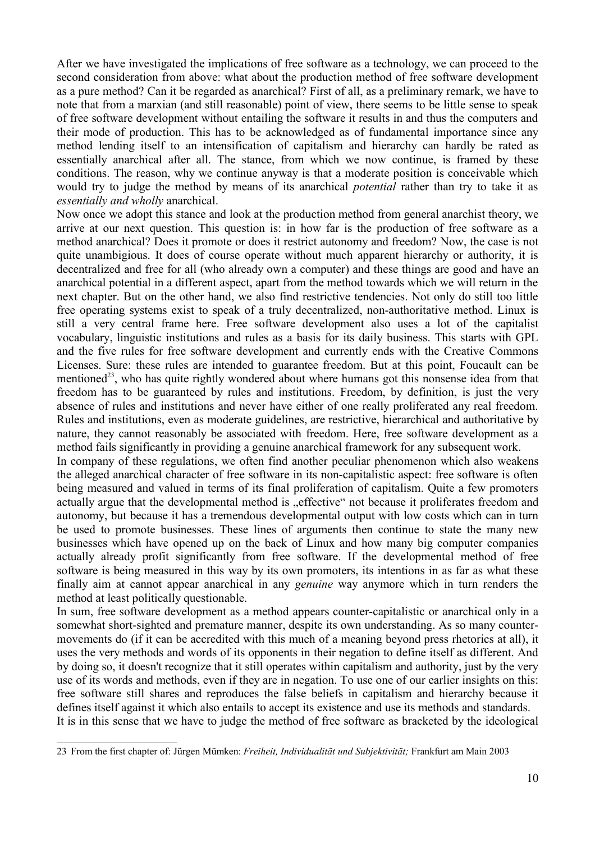After we have investigated the implications of free software as a technology, we can proceed to the second consideration from above: what about the production method of free software development as a pure method? Can it be regarded as anarchical? First of all, as a preliminary remark, we have to note that from a marxian (and still reasonable) point of view, there seems to be little sense to speak of free software development without entailing the software it results in and thus the computers and their mode of production. This has to be acknowledged as of fundamental importance since any method lending itself to an intensification of capitalism and hierarchy can hardly be rated as essentially anarchical after all. The stance, from which we now continue, is framed by these conditions. The reason, why we continue anyway is that a moderate position is conceivable which would try to judge the method by means of its anarchical *potential* rather than try to take it as *essentially and wholly* anarchical.

Now once we adopt this stance and look at the production method from general anarchist theory, we arrive at our next question. This question is: in how far is the production of free software as a method anarchical? Does it promote or does it restrict autonomy and freedom? Now, the case is not quite unambigious. It does of course operate without much apparent hierarchy or authority, it is decentralized and free for all (who already own a computer) and these things are good and have an anarchical potential in a different aspect, apart from the method towards which we will return in the next chapter. But on the other hand, we also find restrictive tendencies. Not only do still too little free operating systems exist to speak of a truly decentralized, non-authoritative method. Linux is still a very central frame here. Free software development also uses a lot of the capitalist vocabulary, linguistic institutions and rules as a basis for its daily business. This starts with GPL and the five rules for free software development and currently ends with the Creative Commons Licenses. Sure: these rules are intended to guarantee freedom. But at this point, Foucault can be mentioned<sup>23</sup>, who has quite rightly wondered about where humans got this nonsense idea from that freedom has to be guaranteed by rules and institutions. Freedom, by definition, is just the very absence of rules and institutions and never have either of one really proliferated any real freedom. Rules and institutions, even as moderate guidelines, are restrictive, hierarchical and authoritative by nature, they cannot reasonably be associated with freedom. Here, free software development as a method fails significantly in providing a genuine anarchical framework for any subsequent work.

In company of these regulations, we often find another peculiar phenomenon which also weakens the alleged anarchical character of free software in its non-capitalistic aspect: free software is often being measured and valued in terms of its final proliferation of capitalism. Quite a few promoters actually argue that the developmental method is "effective" not because it proliferates freedom and autonomy, but because it has a tremendous developmental output with low costs which can in turn be used to promote businesses. These lines of arguments then continue to state the many new businesses which have opened up on the back of Linux and how many big computer companies actually already profit significantly from free software. If the developmental method of free software is being measured in this way by its own promoters, its intentions in as far as what these finally aim at cannot appear anarchical in any *genuine* way anymore which in turn renders the method at least politically questionable.

In sum, free software development as a method appears counter-capitalistic or anarchical only in a somewhat short-sighted and premature manner, despite its own understanding. As so many countermovements do (if it can be accredited with this much of a meaning beyond press rhetorics at all), it uses the very methods and words of its opponents in their negation to define itself as different. And by doing so, it doesn't recognize that it still operates within capitalism and authority, just by the very use of its words and methods, even if they are in negation. To use one of our earlier insights on this: free software still shares and reproduces the false beliefs in capitalism and hierarchy because it defines itself against it which also entails to accept its existence and use its methods and standards. It is in this sense that we have to judge the method of free software as bracketed by the ideological

<sup>23</sup> From the first chapter of: Jürgen Mümken: *Freiheit, Individualität und Subjektivität;* Frankfurt am Main 2003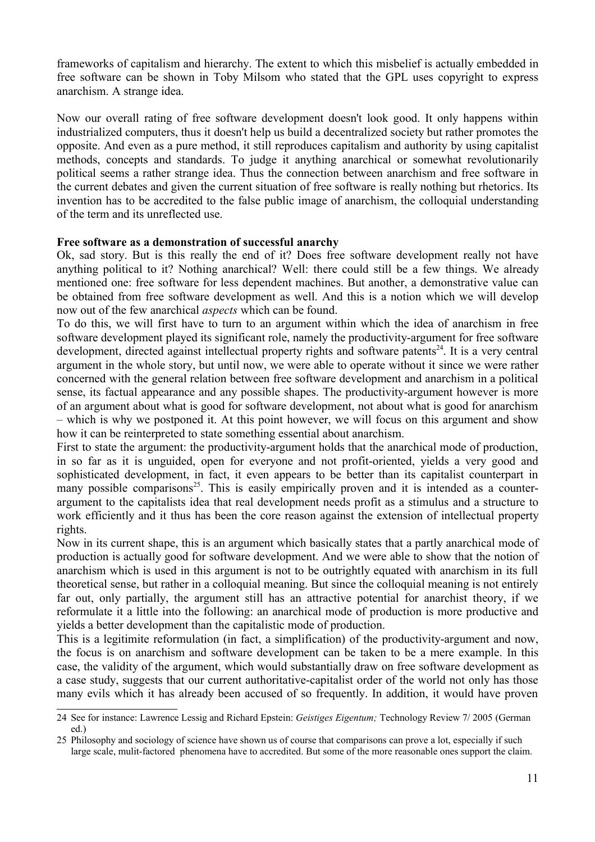frameworks of capitalism and hierarchy. The extent to which this misbelief is actually embedded in free software can be shown in Toby Milsom who stated that the GPL uses copyright to express anarchism. A strange idea.

Now our overall rating of free software development doesn't look good. It only happens within industrialized computers, thus it doesn't help us build a decentralized society but rather promotes the opposite. And even as a pure method, it still reproduces capitalism and authority by using capitalist methods, concepts and standards. To judge it anything anarchical or somewhat revolutionarily political seems a rather strange idea. Thus the connection between anarchism and free software in the current debates and given the current situation of free software is really nothing but rhetorics. Its invention has to be accredited to the false public image of anarchism, the colloquial understanding of the term and its unreflected use.

## **Free software as a demonstration of successful anarchy**

Ok, sad story. But is this really the end of it? Does free software development really not have anything political to it? Nothing anarchical? Well: there could still be a few things. We already mentioned one: free software for less dependent machines. But another, a demonstrative value can be obtained from free software development as well. And this is a notion which we will develop now out of the few anarchical *aspects* which can be found.

To do this, we will first have to turn to an argument within which the idea of anarchism in free software development played its significant role, namely the productivity-argument for free software development, directed against intellectual property rights and software patents<sup>24</sup>. It is a very central argument in the whole story, but until now, we were able to operate without it since we were rather concerned with the general relation between free software development and anarchism in a political sense, its factual appearance and any possible shapes. The productivity-argument however is more of an argument about what is good for software development, not about what is good for anarchism – which is why we postponed it. At this point however, we will focus on this argument and show how it can be reinterpreted to state something essential about anarchism.

First to state the argument: the productivity-argument holds that the anarchical mode of production, in so far as it is unguided, open for everyone and not profit-oriented, yields a very good and sophisticated development, in fact, it even appears to be better than its capitalist counterpart in many possible comparisons<sup>25</sup>. This is easily empirically proven and it is intended as a counterargument to the capitalists idea that real development needs profit as a stimulus and a structure to work efficiently and it thus has been the core reason against the extension of intellectual property rights.

Now in its current shape, this is an argument which basically states that a partly anarchical mode of production is actually good for software development. And we were able to show that the notion of anarchism which is used in this argument is not to be outrightly equated with anarchism in its full theoretical sense, but rather in a colloquial meaning. But since the colloquial meaning is not entirely far out, only partially, the argument still has an attractive potential for anarchist theory, if we reformulate it a little into the following: an anarchical mode of production is more productive and yields a better development than the capitalistic mode of production.

This is a legitimite reformulation (in fact, a simplification) of the productivity-argument and now, the focus is on anarchism and software development can be taken to be a mere example. In this case, the validity of the argument, which would substantially draw on free software development as a case study, suggests that our current authoritative-capitalist order of the world not only has those many evils which it has already been accused of so frequently. In addition, it would have proven

<sup>24</sup> See for instance: Lawrence Lessig and Richard Epstein: *Geistiges Eigentum;* Technology Review 7/ 2005 (German ed.)

<sup>25</sup> Philosophy and sociology of science have shown us of course that comparisons can prove a lot, especially if such large scale, mulit-factored phenomena have to accredited. But some of the more reasonable ones support the claim.